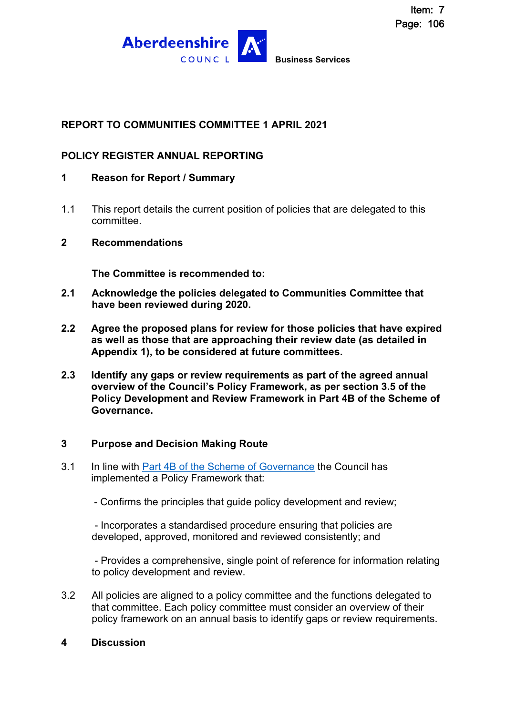

## **REPORT TO COMMUNITIES COMMITTEE 1 APRIL 2021**

### **POLICY REGISTER ANNUAL REPORTING**

- **1 Reason for Report / Summary**
- 1.1 This report details the current position of policies that are delegated to this committee.

#### **2 Recommendations**

**The Committee is recommended to:** 

- **2.1 Acknowledge the policies delegated to Communities Committee that have been reviewed during 2020.**
- **2.2 Agree the proposed plans for review for those policies that have expired as well as those that are approaching their review date (as detailed in Appendix 1), to be considered at future committees.**
- **2.3 Identify any gaps or review requirements as part of the agreed annual overview of the Council's Policy Framework, as per section 3.5 of the Policy Development and Review Framework in Part 4B of the Scheme of Governance.**

#### **3 Purpose and Decision Making Route**

- 3.1 In line with [Part 4B of the Scheme of Governance](http://publications.aberdeenshire.gov.uk/dataset/c8044f6f-e327-499f-bbc7-94ae9d699559/resource/0118bb67-2c5e-4725-bde9-683f1b393060/download/policy-development-and-review-framework.pdf) the Council has implemented a Policy Framework that:
	- Confirms the principles that guide policy development and review;

 - Incorporates a standardised procedure ensuring that policies are developed, approved, monitored and reviewed consistently; and

 - Provides a comprehensive, single point of reference for information relating to policy development and review.

- 3.2 All policies are aligned to a policy committee and the functions delegated to that committee. Each policy committee must consider an overview of their policy framework on an annual basis to identify gaps or review requirements.
- **4 Discussion**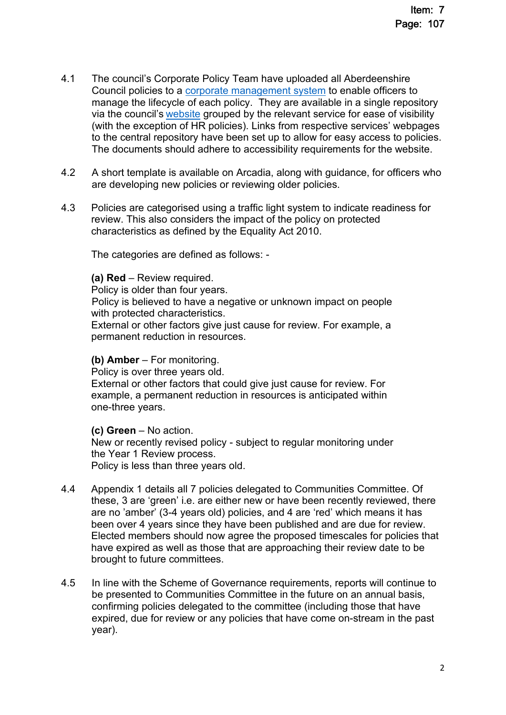- 4.1 The council's Corporate Policy Team have uploaded all Aberdeenshire Council policies to a [corporate management system](https://aberdeenshire.sharepoint.com/sites/Arcadia/services/Pages/Business%20Services/Customer%20Communication%20and%20Improvement/Policy,%20Performance%20and%20Change/Performance/Pentana.aspx) to enable officers to manage the lifecycle of each policy. They are available in a single repository via the council's [website](https://www.aberdeenshire.gov.uk/a-z/?letter=P) grouped by the relevant service for ease of visibility (with the exception of HR policies). Links from respective services' webpages to the central repository have been set up to allow for easy access to policies. The documents should adhere to accessibility requirements for the website.
- 4.2 A short template is available on Arcadia, along with guidance, for officers who are developing new policies or reviewing older policies.
- 4.3 Policies are categorised using a traffic light system to indicate readiness for review. This also considers the impact of the policy on protected characteristics as defined by the Equality Act 2010.

The categories are defined as follows: -

**(a) Red** – Review required.

Policy is older than four years.

Policy is believed to have a negative or unknown impact on people with protected characteristics.

External or other factors give just cause for review. For example, a permanent reduction in resources.

#### **(b) Amber** – For monitoring.

Policy is over three years old.

External or other factors that could give just cause for review. For example, a permanent reduction in resources is anticipated within one-three years.

#### **(c) Green** – No action.

New or recently revised policy - subject to regular monitoring under the Year 1 Review process. Policy is less than three years old.

- 4.4 Appendix 1 details all 7 policies delegated to Communities Committee. Of these, 3 are 'green' i.e. are either new or have been recently reviewed, there are no 'amber' (3-4 years old) policies, and 4 are 'red' which means it has been over 4 years since they have been published and are due for review. Elected members should now agree the proposed timescales for policies that have expired as well as those that are approaching their review date to be brought to future committees.
- 4.5 In line with the Scheme of Governance requirements, reports will continue to be presented to Communities Committee in the future on an annual basis, confirming policies delegated to the committee (including those that have expired, due for review or any policies that have come on-stream in the past year).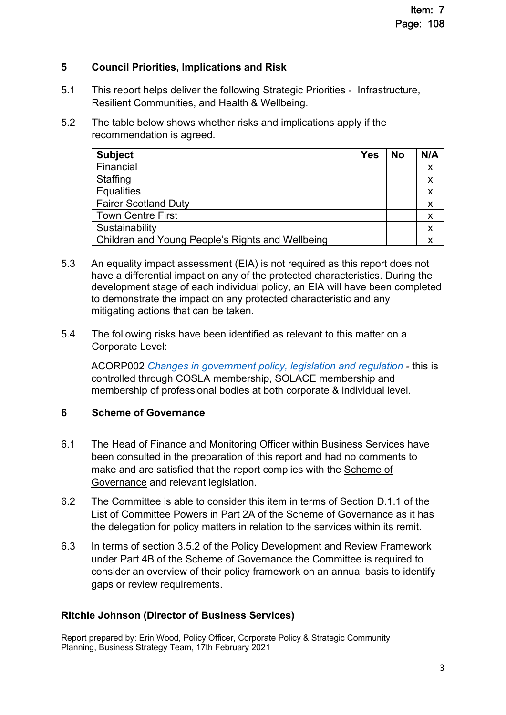## **5 Council Priorities, Implications and Risk**

- 5.1 This report helps deliver the following Strategic Priorities Infrastructure, Resilient Communities, and Health & Wellbeing.
- 5.2 The table below shows whether risks and implications apply if the recommendation is agreed.

| <b>Subject</b>                                   | <b>Yes</b> | <b>No</b> | N/A                       |
|--------------------------------------------------|------------|-----------|---------------------------|
| Financial                                        |            |           | X                         |
| <b>Staffing</b>                                  |            |           | $\boldsymbol{\mathsf{x}}$ |
| <b>Equalities</b>                                |            |           |                           |
| <b>Fairer Scotland Duty</b>                      |            |           | X                         |
| <b>Town Centre First</b>                         |            |           |                           |
| Sustainability                                   |            |           | X                         |
| Children and Young People's Rights and Wellbeing |            |           |                           |

- 5.3 An equality impact assessment (EIA) is not required as this report does not have a differential impact on any of the protected characteristics. During the development stage of each individual policy, an EIA will have been completed to demonstrate the impact on any protected characteristic and any mitigating actions that can be taken.
- 5.4 The following risks have been identified as relevant to this matter on a Corporate Level:

ACORP002 *[Changes in government policy, legislation and regulation](http://www.aberdeenshire.gov.uk/media/21264/aberdeenshire-corporate-risks.pdf) -* this is controlled through COSLA membership, SOLACE membership and membership of professional bodies at both corporate & individual level.

## **6 Scheme of Governance**

- 6.1 The Head of Finance and Monitoring Officer within Business Services have been consulted in the preparation of this report and had no comments to make and are satisfied that the report complies with the [Scheme of](https://www.aberdeenshire.gov.uk/council-and-democracy/scheme-of-governance/)  [Governance](https://www.aberdeenshire.gov.uk/council-and-democracy/scheme-of-governance/) and relevant legislation.
- 6.2 The Committee is able to consider this item in terms of Section D.1.1 of the List of Committee Powers in Part 2A of the Scheme of Governance as it has the delegation for policy matters in relation to the services within its remit.
- 6.3 In terms of section 3.5.2 of the Policy Development and Review Framework under Part 4B of the Scheme of Governance the Committee is required to consider an overview of their policy framework on an annual basis to identify gaps or review requirements.

## **Ritchie Johnson (Director of Business Services)**

Report prepared by: Erin Wood, Policy Officer, Corporate Policy & Strategic Community Planning, Business Strategy Team, 17th February 2021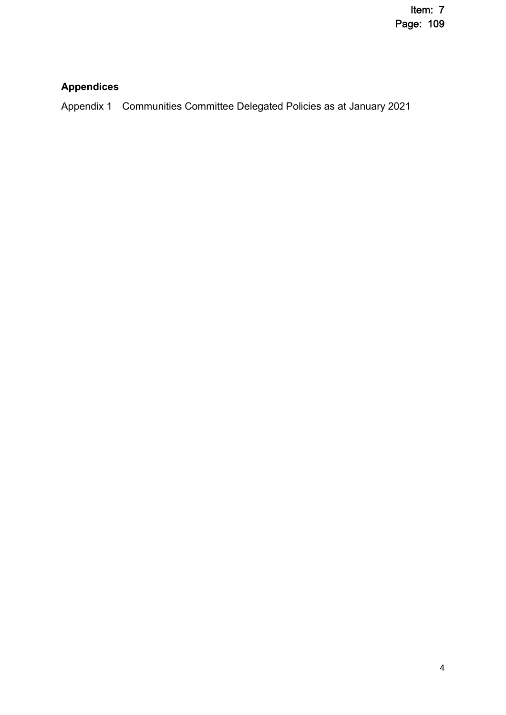# **Appendices**

Appendix 1 Communities Committee Delegated Policies as at January 2021